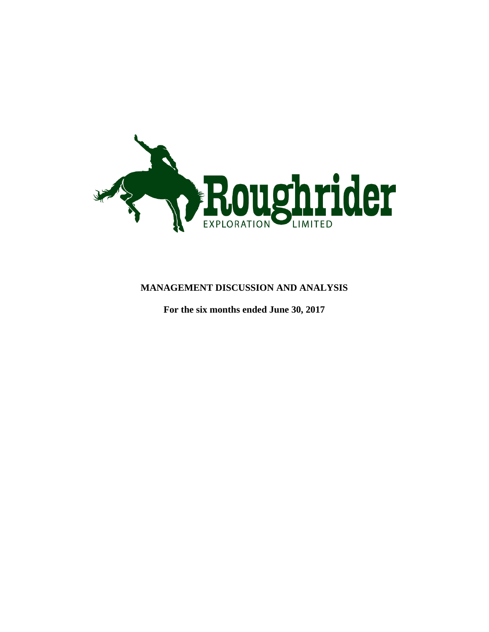

# **MANAGEMENT DISCUSSION AND ANALYSIS**

**For the six months ended June 30, 2017**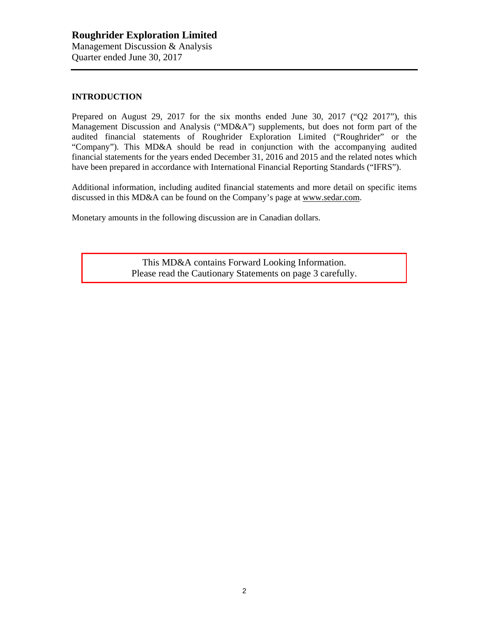#### **INTRODUCTION**

Prepared on August 29, 2017 for the six months ended June 30, 2017 ("Q2 2017"), this Management Discussion and Analysis ("MD&A") supplements, but does not form part of the audited financial statements of Roughrider Exploration Limited ("Roughrider" or the "Company"). This MD&A should be read in conjunction with the accompanying audited financial statements for the years ended December 31, 2016 and 2015 and the related notes which have been prepared in accordance with International Financial Reporting Standards ("IFRS").

Additional information, including audited financial statements and more detail on specific items discussed in this MD&A can be found on the Company's page at [www.sedar.com.](http://www.sedar.com/)

Monetary amounts in the following discussion are in Canadian dollars.

This MD&A contains Forward Looking Information. Please read the Cautionary Statements on page 3 carefully.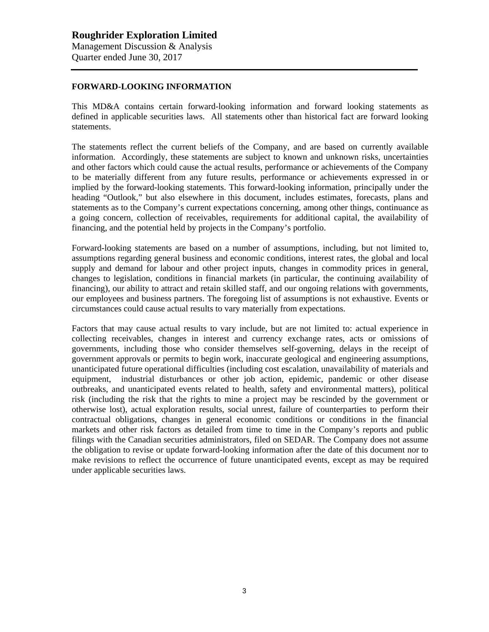#### **FORWARD-LOOKING INFORMATION**

This MD&A contains certain forward-looking information and forward looking statements as defined in applicable securities laws. All statements other than historical fact are forward looking statements.

The statements reflect the current beliefs of the Company, and are based on currently available information. Accordingly, these statements are subject to known and unknown risks, uncertainties and other factors which could cause the actual results, performance or achievements of the Company to be materially different from any future results, performance or achievements expressed in or implied by the forward-looking statements. This forward-looking information, principally under the heading "Outlook," but also elsewhere in this document, includes estimates, forecasts, plans and statements as to the Company's current expectations concerning, among other things, continuance as a going concern, collection of receivables, requirements for additional capital, the availability of financing, and the potential held by projects in the Company's portfolio.

Forward-looking statements are based on a number of assumptions, including, but not limited to, assumptions regarding general business and economic conditions, interest rates, the global and local supply and demand for labour and other project inputs, changes in commodity prices in general, changes to legislation, conditions in financial markets (in particular, the continuing availability of financing), our ability to attract and retain skilled staff, and our ongoing relations with governments, our employees and business partners. The foregoing list of assumptions is not exhaustive. Events or circumstances could cause actual results to vary materially from expectations.

Factors that may cause actual results to vary include, but are not limited to: actual experience in collecting receivables, changes in interest and currency exchange rates, acts or omissions of governments, including those who consider themselves self-governing, delays in the receipt of government approvals or permits to begin work, inaccurate geological and engineering assumptions, unanticipated future operational difficulties (including cost escalation, unavailability of materials and equipment, industrial disturbances or other job action, epidemic, pandemic or other disease outbreaks, and unanticipated events related to health, safety and environmental matters), political risk (including the risk that the rights to mine a project may be rescinded by the government or otherwise lost), actual exploration results, social unrest, failure of counterparties to perform their contractual obligations, changes in general economic conditions or conditions in the financial markets and other risk factors as detailed from time to time in the Company's reports and public filings with the Canadian securities administrators, filed on SEDAR. The Company does not assume the obligation to revise or update forward-looking information after the date of this document nor to make revisions to reflect the occurrence of future unanticipated events, except as may be required under applicable securities laws.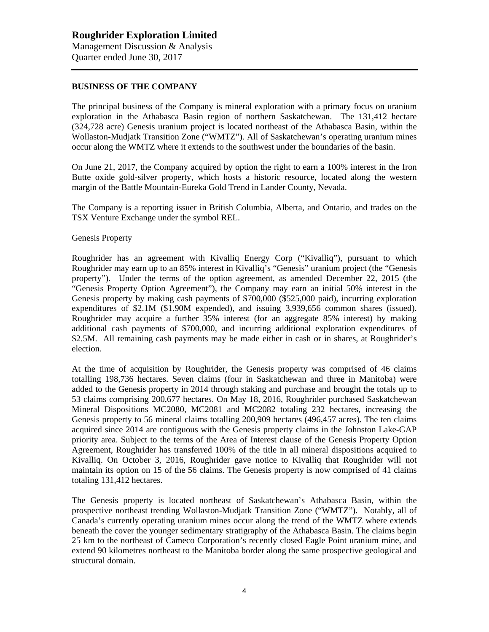#### **BUSINESS OF THE COMPANY**

The principal business of the Company is mineral exploration with a primary focus on uranium exploration in the Athabasca Basin region of northern Saskatchewan. The 131,412 hectare (324,728 acre) Genesis uranium project is located northeast of the Athabasca Basin, within the Wollaston-Mudjatk Transition Zone ("WMTZ"). All of Saskatchewan's operating uranium mines occur along the WMTZ where it extends to the southwest under the boundaries of the basin.

On June 21, 2017, the Company acquired by option the right to earn a 100% interest in the Iron Butte oxide gold-silver property, which hosts a historic resource, located along the western margin of the Battle Mountain-Eureka Gold Trend in Lander County, Nevada.

The Company is a reporting issuer in British Columbia, Alberta, and Ontario, and trades on the TSX Venture Exchange under the symbol REL.

#### Genesis Property

Roughrider has an agreement with Kivalliq Energy Corp ("Kivalliq"), pursuant to which Roughrider may earn up to an 85% interest in Kivalliq's "Genesis" uranium project (the "Genesis property"). Under the terms of the option agreement, as amended December 22, 2015 (the "Genesis Property Option Agreement"), the Company may earn an initial 50% interest in the Genesis property by making cash payments of \$700,000 (\$525,000 paid), incurring exploration expenditures of \$2.1M (\$1.90M expended), and issuing 3,939,656 common shares (issued). Roughrider may acquire a further 35% interest (for an aggregate 85% interest) by making additional cash payments of \$700,000, and incurring additional exploration expenditures of \$2.5M. All remaining cash payments may be made either in cash or in shares, at Roughrider's election.

At the time of acquisition by Roughrider, the Genesis property was comprised of 46 claims totalling 198,736 hectares. Seven claims (four in Saskatchewan and three in Manitoba) were added to the Genesis property in 2014 through staking and purchase and brought the totals up to 53 claims comprising 200,677 hectares. On May 18, 2016, Roughrider purchased Saskatchewan Mineral Dispositions MC2080, MC2081 and MC2082 totaling 232 hectares, increasing the Genesis property to 56 mineral claims totalling 200,909 hectares (496,457 acres). The ten claims acquired since 2014 are contiguous with the Genesis property claims in the Johnston Lake-GAP priority area. Subject to the terms of the Area of Interest clause of the Genesis Property Option Agreement, Roughrider has transferred 100% of the title in all mineral dispositions acquired to Kivalliq. On October 3, 2016, Roughrider gave notice to Kivalliq that Roughrider will not maintain its option on 15 of the 56 claims. The Genesis property is now comprised of 41 claims totaling 131,412 hectares.

The Genesis property is located northeast of Saskatchewan's Athabasca Basin, within the prospective northeast trending Wollaston-Mudjatk Transition Zone ("WMTZ"). Notably, all of Canada's currently operating uranium mines occur along the trend of the WMTZ where extends beneath the cover the younger sedimentary stratigraphy of the Athabasca Basin. The claims begin 25 km to the northeast of Cameco Corporation's recently closed Eagle Point uranium mine, and extend 90 kilometres northeast to the Manitoba border along the same prospective geological and structural domain.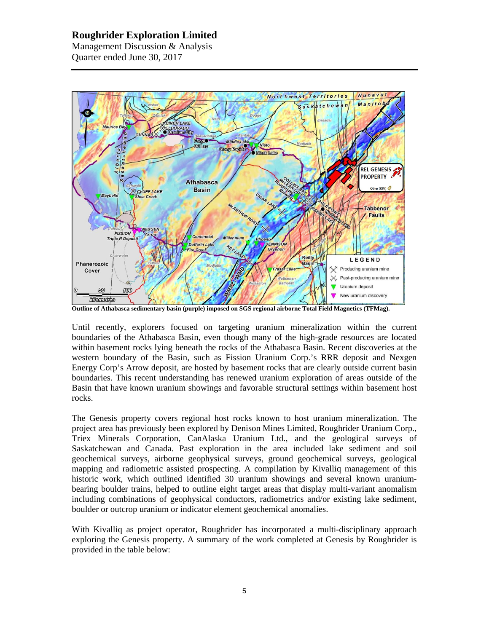Management Discussion & Analysis Quarter ended June 30, 2017



**Outline of Athabasca sedimentary basin (purple) imposed on SGS regional airborne Total Field Magnetics (TFMag).** 

Until recently, explorers focused on targeting uranium mineralization within the current boundaries of the Athabasca Basin, even though many of the high-grade resources are located within basement rocks lying beneath the rocks of the Athabasca Basin. Recent discoveries at the western boundary of the Basin, such as Fission Uranium Corp.'s RRR deposit and Nexgen Energy Corp's Arrow deposit, are hosted by basement rocks that are clearly outside current basin boundaries. This recent understanding has renewed uranium exploration of areas outside of the Basin that have known uranium showings and favorable structural settings within basement host rocks.

The Genesis property covers regional host rocks known to host uranium mineralization. The project area has previously been explored by Denison Mines Limited, Roughrider Uranium Corp., Triex Minerals Corporation, CanAlaska Uranium Ltd., and the geological surveys of Saskatchewan and Canada. Past exploration in the area included lake sediment and soil geochemical surveys, airborne geophysical surveys, ground geochemical surveys, geological mapping and radiometric assisted prospecting. A compilation by Kivalliq management of this historic work, which outlined identified 30 uranium showings and several known uraniumbearing boulder trains, helped to outline eight target areas that display multi-variant anomalism including combinations of geophysical conductors, radiometrics and/or existing lake sediment, boulder or outcrop uranium or indicator element geochemical anomalies.

With Kivalliq as project operator, Roughrider has incorporated a multi-disciplinary approach exploring the Genesis property. A summary of the work completed at Genesis by Roughrider is provided in the table below: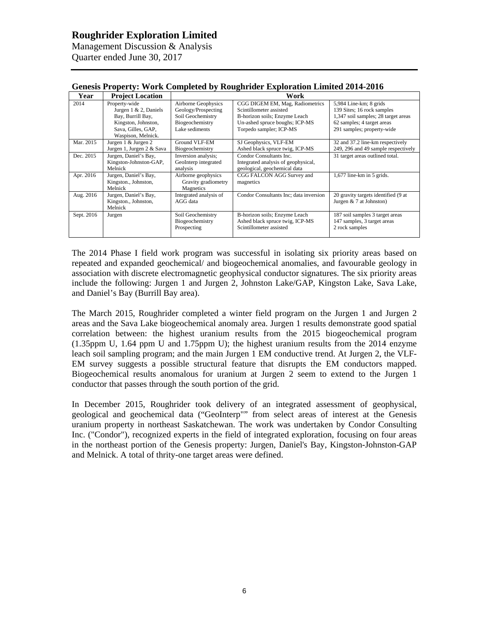Management Discussion & Analysis Quarter ended June 30, 2017

| $\alpha$ , $\alpha$ , $\alpha$ , $\alpha$ , $\alpha$ , $\alpha$ , $\alpha$ , $\alpha$ , $\alpha$ , $\alpha$ , $\alpha$ , $\alpha$ , $\alpha$ , $\alpha$ , $\alpha$ , $\alpha$ , $\alpha$ , $\alpha$ , $\alpha$ , $\alpha$ , $\alpha$ , $\alpha$ , $\alpha$ , $\alpha$ , $\alpha$ , $\alpha$ , $\alpha$ , $\alpha$ , $\alpha$ , $\alpha$ , $\alpha$ , $\alpha$ |                           |                        |                                        |                                     |  |  |
|---------------------------------------------------------------------------------------------------------------------------------------------------------------------------------------------------------------------------------------------------------------------------------------------------------------------------------------------------------------|---------------------------|------------------------|----------------------------------------|-------------------------------------|--|--|
| Year                                                                                                                                                                                                                                                                                                                                                          | <b>Project Location</b>   | Work                   |                                        |                                     |  |  |
| 2014                                                                                                                                                                                                                                                                                                                                                          | Property-wide             | Airborne Geophysics    | CGG DIGEM EM, Mag, Radiometrics        | 5,984 Line-km; 8 grids              |  |  |
|                                                                                                                                                                                                                                                                                                                                                               | Jurgen $1 \& 2$ , Daniels | Geology/Prospecting    | Scintillometer assisted                | 139 Sites; 16 rock samples          |  |  |
|                                                                                                                                                                                                                                                                                                                                                               | Bay, Burrill Bay,         | Soil Geochemistry      | B-horizon soils; Enzyme Leach          | 1,347 soil samples; 28 target areas |  |  |
|                                                                                                                                                                                                                                                                                                                                                               | Kingston, Johnston,       | Biogeochemistry        | Un-ashed spruce boughs; ICP-MS         | 62 samples; 4 target areas          |  |  |
|                                                                                                                                                                                                                                                                                                                                                               | Sava, Gilles, GAP,        | Lake sediments         | Torpedo sampler; ICP-MS                | 291 samples; property-wide          |  |  |
|                                                                                                                                                                                                                                                                                                                                                               | Waspison, Melnick.        |                        |                                        |                                     |  |  |
| Mar. 2015                                                                                                                                                                                                                                                                                                                                                     | Jurgen 1 & Jurgen 2       | Ground VLF-EM          | SJ Geophysics, VLF-EM                  | 32 and 37.2 line-km respectively    |  |  |
|                                                                                                                                                                                                                                                                                                                                                               | Jurgen 1, Jurgen 2 & Sava | Biogeochemistry        | Ashed black spruce twig, ICP-MS        | 249, 296 and 49 sample respectively |  |  |
| Dec. 2015                                                                                                                                                                                                                                                                                                                                                     | Jurgen, Daniel's Bay,     | Inversion analysis;    | Condor Consultants Inc.                | 31 target areas outlined total.     |  |  |
|                                                                                                                                                                                                                                                                                                                                                               | Kingston-Johnston-GAP,    | GeoInterp integrated   | Integrated analysis of geophysical,    |                                     |  |  |
|                                                                                                                                                                                                                                                                                                                                                               | Melnick                   | analysis               | geological, geochemical data           |                                     |  |  |
| Apr. 2016                                                                                                                                                                                                                                                                                                                                                     | Jurgen, Daniel's Bay,     | Airborne geophysics    | CGG FALCON AGG Survey and              | $1,677$ line-km in 5 grids.         |  |  |
|                                                                                                                                                                                                                                                                                                                                                               | Kingston., Johnston,      | Gravity gradiometry    | magnetics                              |                                     |  |  |
|                                                                                                                                                                                                                                                                                                                                                               | Melnick                   | Magnetics              |                                        |                                     |  |  |
| Aug. 2016                                                                                                                                                                                                                                                                                                                                                     | Jurgen, Daniel's Bay,     | Integrated analysis of | Condor Consultants Inc; data inversion | 20 gravity targets identified (9 at |  |  |
|                                                                                                                                                                                                                                                                                                                                                               | Kingston., Johnston,      | AGG data               |                                        | Jurgen $& 7$ at Johnston)           |  |  |
|                                                                                                                                                                                                                                                                                                                                                               | Melnick                   |                        |                                        |                                     |  |  |
| Sept. 2016                                                                                                                                                                                                                                                                                                                                                    | Jurgen                    | Soil Geochemistry      | B-horizon soils; Enzyme Leach          | 187 soil samples 3 target areas     |  |  |
|                                                                                                                                                                                                                                                                                                                                                               |                           | Biogeochemistry        | Ashed black spruce twig, ICP-MS        | 147 samples, 3 target areas         |  |  |
|                                                                                                                                                                                                                                                                                                                                                               |                           | Prospecting            | Scintillometer assisted                | 2 rock samples                      |  |  |
|                                                                                                                                                                                                                                                                                                                                                               |                           |                        |                                        |                                     |  |  |

#### **Genesis Property: Work Completed by Roughrider Exploration Limited 2014-2016**

The 2014 Phase I field work program was successful in isolating six priority areas based on repeated and expanded geochemical/ and biogeochemical anomalies, and favourable geology in association with discrete electromagnetic geophysical conductor signatures. The six priority areas include the following: Jurgen 1 and Jurgen 2, Johnston Lake/GAP, Kingston Lake, Sava Lake, and Daniel's Bay (Burrill Bay area).

The March 2015, Roughrider completed a winter field program on the Jurgen 1 and Jurgen 2 areas and the Sava Lake biogeochemical anomaly area. Jurgen 1 results demonstrate good spatial correlation between: the highest uranium results from the 2015 biogeochemical program (1.35ppm U, 1.64 ppm U and 1.75ppm U); the highest uranium results from the 2014 enzyme leach soil sampling program; and the main Jurgen 1 EM conductive trend. At Jurgen 2, the VLF-EM survey suggests a possible structural feature that disrupts the EM conductors mapped. Biogeochemical results anomalous for uranium at Jurgen 2 seem to extend to the Jurgen 1 conductor that passes through the south portion of the grid.

In December 2015, Roughrider took delivery of an integrated assessment of geophysical, geological and geochemical data ("GeoInterp"" from select areas of interest at the Genesis uranium property in northeast Saskatchewan. The work was undertaken by Condor Consulting Inc. ("Condor"), recognized experts in the field of integrated exploration, focusing on four areas in the northeast portion of the Genesis property: Jurgen, Daniel's Bay, Kingston-Johnston-GAP and Melnick. A total of thrity-one target areas were defined.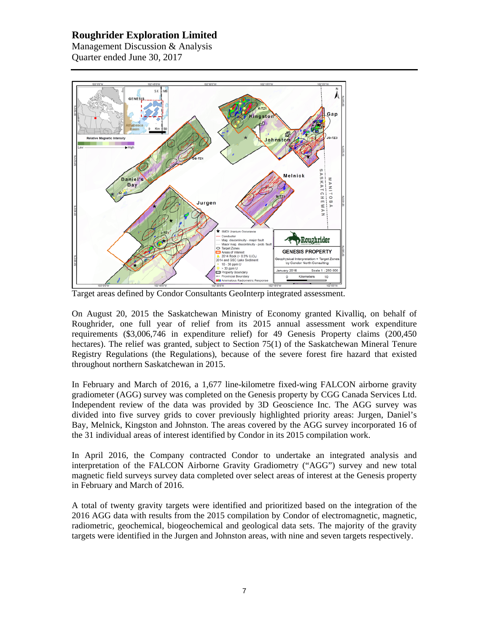Management Discussion & Analysis Quarter ended June 30, 2017



Target areas defined by Condor Consultants GeoInterp integrated assessment.

On August 20, 2015 the Saskatchewan Ministry of Economy granted Kivalliq, on behalf of Roughrider, one full year of relief from its 2015 annual assessment work expenditure requirements (\$3,006,746 in expenditure relief) for 49 Genesis Property claims (200,450 hectares). The relief was granted, subject to Section 75(1) of the Saskatchewan Mineral Tenure Registry Regulations (the Regulations), because of the severe forest fire hazard that existed throughout northern Saskatchewan in 2015.

In February and March of 2016, a 1,677 line-kilometre fixed-wing FALCON airborne gravity gradiometer (AGG) survey was completed on the Genesis property by CGG Canada Services Ltd. Independent review of the data was provided by 3D Geoscience Inc. The AGG survey was divided into five survey grids to cover previously highlighted priority areas: Jurgen, Daniel's Bay, Melnick, Kingston and Johnston. The areas covered by the AGG survey incorporated 16 of the 31 individual areas of interest identified by Condor in its 2015 compilation work.

In April 2016, the Company contracted Condor to undertake an integrated analysis and interpretation of the FALCON Airborne Gravity Gradiometry ("AGG") survey and new total magnetic field surveys survey data completed over select areas of interest at the Genesis property in February and March of 2016.

A total of twenty gravity targets were identified and prioritized based on the integration of the 2016 AGG data with results from the 2015 compilation by Condor of electromagnetic, magnetic, radiometric, geochemical, biogeochemical and geological data sets. The majority of the gravity targets were identified in the Jurgen and Johnston areas, with nine and seven targets respectively.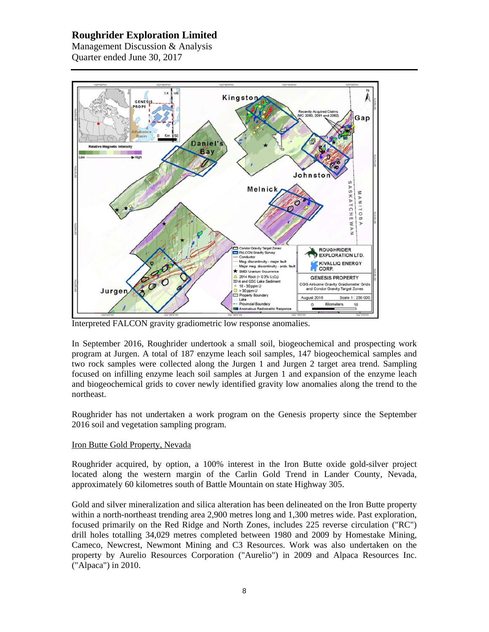Management Discussion & Analysis Quarter ended June 30, 2017



Interpreted FALCON gravity gradiometric low response anomalies.

In September 2016, Roughrider undertook a small soil, biogeochemical and prospecting work program at Jurgen. A total of 187 enzyme leach soil samples, 147 biogeochemical samples and two rock samples were collected along the Jurgen 1 and Jurgen 2 target area trend. Sampling focused on infilling enzyme leach soil samples at Jurgen 1 and expansion of the enzyme leach and biogeochemical grids to cover newly identified gravity low anomalies along the trend to the northeast.

Roughrider has not undertaken a work program on the Genesis property since the September 2016 soil and vegetation sampling program.

## Iron Butte Gold Property, Nevada

Roughrider acquired, by option, a 100% interest in the Iron Butte oxide gold-silver project located along the western margin of the Carlin Gold Trend in Lander County, Nevada, approximately 60 kilometres south of Battle Mountain on state Highway 305.

Gold and silver mineralization and silica alteration has been delineated on the Iron Butte property within a north-northeast trending area 2,900 metres long and 1,300 metres wide. Past exploration, focused primarily on the Red Ridge and North Zones, includes 225 reverse circulation ("RC") drill holes totalling 34,029 metres completed between 1980 and 2009 by Homestake Mining, Cameco, Newcrest, Newmont Mining and C3 Resources. Work was also undertaken on the property by Aurelio Resources Corporation ("Aurelio") in 2009 and Alpaca Resources Inc. ("Alpaca") in 2010.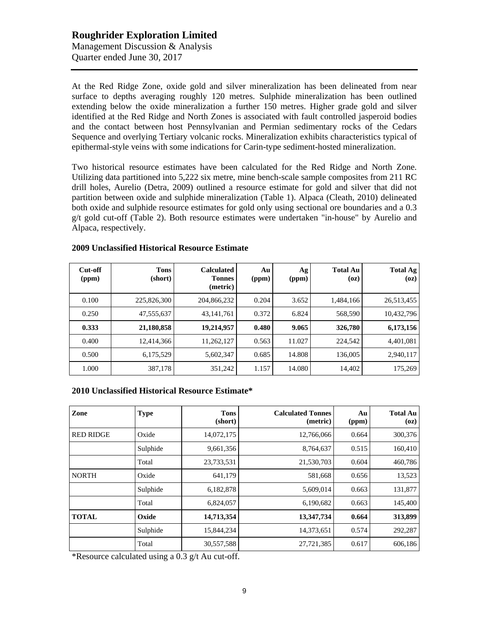# **Roughrider Exploration Limited** Management Discussion & Analysis Quarter ended June 30, 2017

At the Red Ridge Zone, oxide gold and silver mineralization has been delineated from near surface to depths averaging roughly 120 metres. Sulphide mineralization has been outlined extending below the oxide mineralization a further 150 metres. Higher grade gold and silver identified at the Red Ridge and North Zones is associated with fault controlled jasperoid bodies and the contact between host Pennsylvanian and Permian sedimentary rocks of the Cedars Sequence and overlying Tertiary volcanic rocks. Mineralization exhibits characteristics typical of epithermal-style veins with some indications for Carin-type sediment-hosted mineralization.

Two historical resource estimates have been calculated for the Red Ridge and North Zone. Utilizing data partitioned into 5,222 six metre, mine bench-scale sample composites from 211 RC drill holes, Aurelio (Detra, 2009) outlined a resource estimate for gold and silver that did not partition between oxide and sulphide mineralization (Table 1). Alpaca (Cleath, 2010) delineated both oxide and sulphide resource estimates for gold only using sectional ore boundaries and a 0.3 g/t gold cut-off (Table 2). Both resource estimates were undertaken "in-house" by Aurelio and Alpaca, respectively.

| Cut-off<br>(ppm) | <b>Tons</b><br>(short) | <b>Calculated</b><br><b>Tonnes</b><br>(metric) | Au<br>(ppm) | Ag<br>(ppm) | <b>Total Au</b><br>(oz) | <b>Total Ag</b><br>(oz) |
|------------------|------------------------|------------------------------------------------|-------------|-------------|-------------------------|-------------------------|
| 0.100            | 225,826,300            | 204,866,232                                    | 0.204       | 3.652       | 1,484,166               | 26,513,455              |
| 0.250            | 47,555,637             | 43, 141, 761                                   | 0.372       | 6.824       | 568,590                 | 10,432,796              |
| 0.333            | 21,180,858             | 19,214,957                                     | 0.480       | 9.065       | 326,780                 | 6,173,156               |
| 0.400            | 12,414,366             | 11,262,127                                     | 0.563       | 11.027      | 224,542                 | 4,401,081               |
| 0.500            | 6,175,529              | 5,602,347                                      | 0.685       | 14.808      | 136,005                 | 2,940,117               |
| 1.000            | 387,178                | 351,242                                        | 1.157       | 14.080      | 14,402                  | 175,269                 |

# **2009 Unclassified Historical Resource Estimate**

# **2010 Unclassified Historical Resource Estimate\***

| Zone             | <b>Type</b> | <b>Tons</b><br>(short) | <b>Calculated Tonnes</b><br>(metric) | Au<br>(ppm) | <b>Total Au</b><br>(oz) |
|------------------|-------------|------------------------|--------------------------------------|-------------|-------------------------|
| <b>RED RIDGE</b> | Oxide       | 14,072,175             | 12,766,066                           | 0.664       | 300,376                 |
|                  | Sulphide    | 9,661,356              | 8,764,637                            | 0.515       | 160,410                 |
|                  | Total       | 23,733,531             | 21,530,703                           | 0.604       | 460,786                 |
| <b>NORTH</b>     | Oxide       | 641,179                | 581,668                              | 0.656       | 13,523                  |
|                  | Sulphide    | 6,182,878              | 5,609,014                            | 0.663       | 131,877                 |
|                  | Total       | 6,824,057              | 6,190,682                            | 0.663       | 145,400                 |
| <b>TOTAL</b>     | Oxide       | 14,713,354             | 13,347,734                           | 0.664       | 313,899                 |
|                  | Sulphide    | 15,844,234             | 14,373,651                           | 0.574       | 292,287                 |
|                  | Total       | 30,557,588             | 27,721,385                           | 0.617       | 606,186                 |

\*Resource calculated using a 0.3 g/t Au cut-off.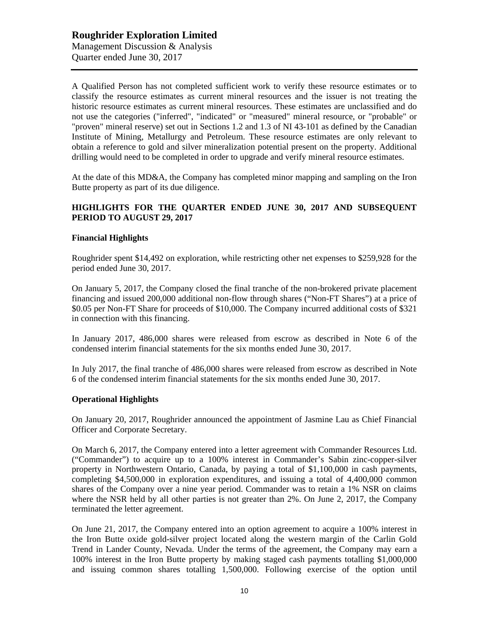A Qualified Person has not completed sufficient work to verify these resource estimates or to classify the resource estimates as current mineral resources and the issuer is not treating the historic resource estimates as current mineral resources. These estimates are unclassified and do not use the categories ("inferred", "indicated" or "measured" mineral resource, or "probable" or "proven" mineral reserve) set out in Sections 1.2 and 1.3 of NI 43-101 as defined by the Canadian Institute of Mining, Metallurgy and Petroleum. These resource estimates are only relevant to obtain a reference to gold and silver mineralization potential present on the property. Additional drilling would need to be completed in order to upgrade and verify mineral resource estimates.

At the date of this MD&A, the Company has completed minor mapping and sampling on the Iron Butte property as part of its due diligence.

#### **HIGHLIGHTS FOR THE QUARTER ENDED JUNE 30, 2017 AND SUBSEQUENT PERIOD TO AUGUST 29, 2017**

#### **Financial Highlights**

Roughrider spent \$14,492 on exploration, while restricting other net expenses to \$259,928 for the period ended June 30, 2017.

On January 5, 2017, the Company closed the final tranche of the non-brokered private placement financing and issued 200,000 additional non-flow through shares ("Non-FT Shares") at a price of \$0.05 per Non-FT Share for proceeds of \$10,000. The Company incurred additional costs of \$321 in connection with this financing.

In January 2017, 486,000 shares were released from escrow as described in Note 6 of the condensed interim financial statements for the six months ended June 30, 2017.

In July 2017, the final tranche of 486,000 shares were released from escrow as described in Note 6 of the condensed interim financial statements for the six months ended June 30, 2017.

#### **Operational Highlights**

On January 20, 2017, Roughrider announced the appointment of Jasmine Lau as Chief Financial Officer and Corporate Secretary.

On March 6, 2017, the Company entered into a letter agreement with Commander Resources Ltd. ("Commander") to acquire up to a 100% interest in Commander's Sabin zinc-copper-silver property in Northwestern Ontario, Canada, by paying a total of \$1,100,000 in cash payments, completing \$4,500,000 in exploration expenditures, and issuing a total of 4,400,000 common shares of the Company over a nine year period. Commander was to retain a 1% NSR on claims where the NSR held by all other parties is not greater than 2%. On June 2, 2017, the Company terminated the letter agreement.

On June 21, 2017, the Company entered into an option agreement to acquire a 100% interest in the Iron Butte oxide gold-silver project located along the western margin of the Carlin Gold Trend in Lander County, Nevada. Under the terms of the agreement, the Company may earn a 100% interest in the Iron Butte property by making staged cash payments totalling \$1,000,000 and issuing common shares totalling 1,500,000. Following exercise of the option until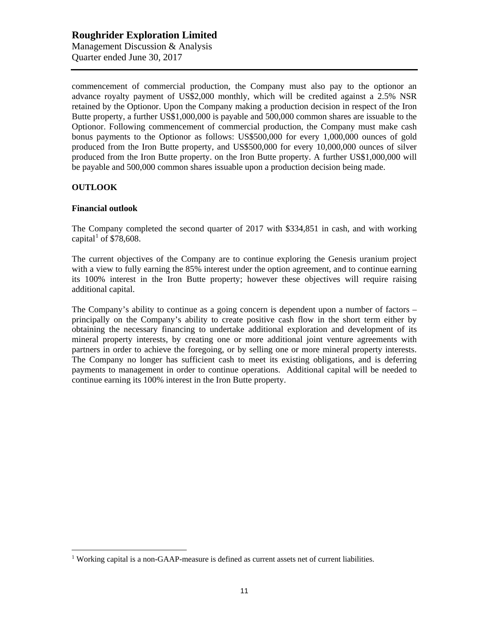commencement of commercial production, the Company must also pay to the optionor an advance royalty payment of US\$2,000 monthly, which will be credited against a 2.5% NSR retained by the Optionor. Upon the Company making a production decision in respect of the Iron Butte property, a further US\$1,000,000 is payable and 500,000 common shares are issuable to the Optionor. Following commencement of commercial production, the Company must make cash bonus payments to the Optionor as follows: US\$500,000 for every 1,000,000 ounces of gold produced from the Iron Butte property, and US\$500,000 for every 10,000,000 ounces of silver produced from the Iron Butte property. on the Iron Butte property. A further US\$1,000,000 will be payable and 500,000 common shares issuable upon a production decision being made.

#### **OUTLOOK**

## **Financial outlook**

The Company completed the second quarter of 2017 with \$334,851 in cash, and with working capital<sup>[1](#page-10-0)</sup> of \$78,608.

The current objectives of the Company are to continue exploring the Genesis uranium project with a view to fully earning the 85% interest under the option agreement, and to continue earning its 100% interest in the Iron Butte property; however these objectives will require raising additional capital.

The Company's ability to continue as a going concern is dependent upon a number of factors – principally on the Company's ability to create positive cash flow in the short term either by obtaining the necessary financing to undertake additional exploration and development of its mineral property interests, by creating one or more additional joint venture agreements with partners in order to achieve the foregoing, or by selling one or more mineral property interests. The Company no longer has sufficient cash to meet its existing obligations, and is deferring payments to management in order to continue operations. Additional capital will be needed to continue earning its 100% interest in the Iron Butte property.

<span id="page-10-0"></span> $<sup>1</sup>$  Working capital is a non-GAAP-measure is defined as current assets net of current liabilities.</sup>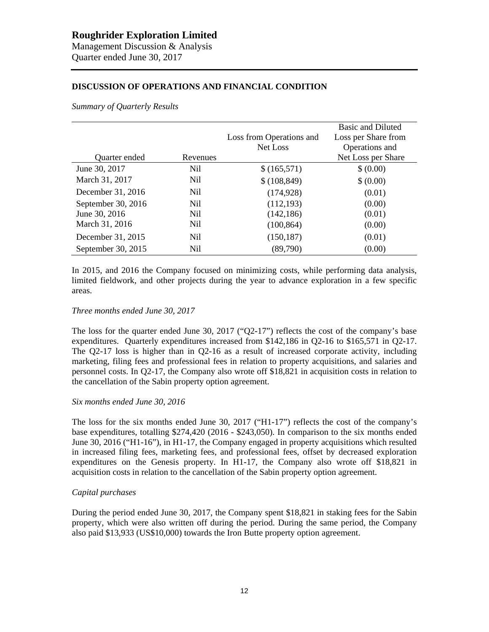## **DISCUSSION OF OPERATIONS AND FINANCIAL CONDITION**

*Summary of Quarterly Results*

|                    |                 |                          | <b>Basic and Diluted</b> |
|--------------------|-----------------|--------------------------|--------------------------|
|                    |                 | Loss from Operations and | Loss per Share from      |
|                    |                 | Net Loss                 | Operations and           |
| Quarter ended      | Revenues        |                          | Net Loss per Share       |
| June 30, 2017      | Nil             | \$(165,571)              | \$ (0.00)                |
| March 31, 2017     | N <sub>il</sub> | \$(108, 849)             | \$ (0.00)                |
| December 31, 2016  | N <sub>il</sub> | (174, 928)               | (0.01)                   |
| September 30, 2016 | N <sub>il</sub> | (112, 193)               | (0.00)                   |
| June 30, 2016      | N <sub>il</sub> | (142, 186)               | (0.01)                   |
| March 31, 2016     | Nil             | (100, 864)               | (0.00)                   |
| December 31, 2015  | Nil             | (150, 187)               | (0.01)                   |
| September 30, 2015 | Nil             | (89,790)                 | (0.00)                   |

In 2015, and 2016 the Company focused on minimizing costs, while performing data analysis, limited fieldwork, and other projects during the year to advance exploration in a few specific areas.

#### *Three months ended June 30, 2017*

The loss for the quarter ended June 30, 2017 (" $Q2-17$ ") reflects the cost of the company's base expenditures. Quarterly expenditures increased from \$142,186 in Q2-16 to \$165,571 in Q2-17. The Q2-17 loss is higher than in Q2-16 as a result of increased corporate activity, including marketing, filing fees and professional fees in relation to property acquisitions, and salaries and personnel costs. In Q2-17, the Company also wrote off \$18,821 in acquisition costs in relation to the cancellation of the Sabin property option agreement.

#### *Six months ended June 30, 2016*

The loss for the six months ended June 30, 2017 ("H1-17") reflects the cost of the company's base expenditures, totalling \$274,420 (2016 - \$243,050). In comparison to the six months ended June 30, 2016 ("H1-16"), in H1-17, the Company engaged in property acquisitions which resulted in increased filing fees, marketing fees, and professional fees, offset by decreased exploration expenditures on the Genesis property. In H1-17, the Company also wrote off \$18,821 in acquisition costs in relation to the cancellation of the Sabin property option agreement.

#### *Capital purchases*

During the period ended June 30, 2017, the Company spent \$18,821 in staking fees for the Sabin property, which were also written off during the period. During the same period, the Company also paid \$13,933 (US\$10,000) towards the Iron Butte property option agreement.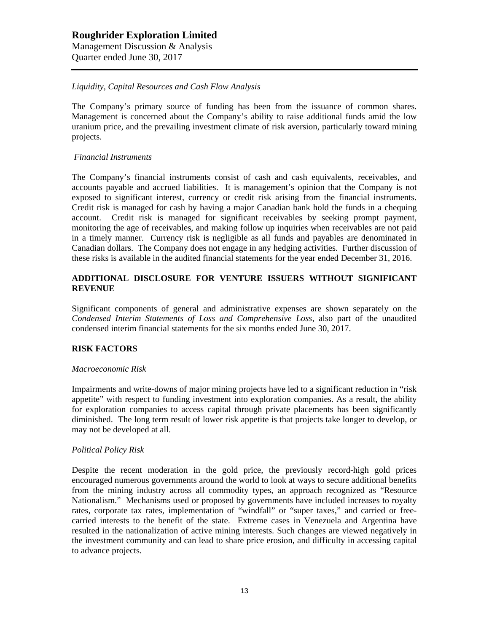## *Liquidity, Capital Resources and Cash Flow Analysis*

The Company's primary source of funding has been from the issuance of common shares. Management is concerned about the Company's ability to raise additional funds amid the low uranium price, and the prevailing investment climate of risk aversion, particularly toward mining projects.

#### *Financial Instruments*

The Company's financial instruments consist of cash and cash equivalents, receivables, and accounts payable and accrued liabilities. It is management's opinion that the Company is not exposed to significant interest, currency or credit risk arising from the financial instruments. Credit risk is managed for cash by having a major Canadian bank hold the funds in a chequing account. Credit risk is managed for significant receivables by seeking prompt payment, monitoring the age of receivables, and making follow up inquiries when receivables are not paid in a timely manner. Currency risk is negligible as all funds and payables are denominated in Canadian dollars. The Company does not engage in any hedging activities. Further discussion of these risks is available in the audited financial statements for the year ended December 31, 2016.

## **ADDITIONAL DISCLOSURE FOR VENTURE ISSUERS WITHOUT SIGNIFICANT REVENUE**

Significant components of general and administrative expenses are shown separately on the *Condensed Interim Statements of Loss and Comprehensive Loss,* also part of the unaudited condensed interim financial statements for the six months ended June 30, 2017.

#### **RISK FACTORS**

#### *Macroeconomic Risk*

Impairments and write-downs of major mining projects have led to a significant reduction in "risk appetite" with respect to funding investment into exploration companies. As a result, the ability for exploration companies to access capital through private placements has been significantly diminished. The long term result of lower risk appetite is that projects take longer to develop, or may not be developed at all.

#### *Political Policy Risk*

Despite the recent moderation in the gold price, the previously record-high gold prices encouraged numerous governments around the world to look at ways to secure additional benefits from the mining industry across all commodity types, an approach recognized as "Resource Nationalism." Mechanisms used or proposed by governments have included increases to royalty rates, corporate tax rates, implementation of "windfall" or "super taxes," and carried or freecarried interests to the benefit of the state. Extreme cases in Venezuela and Argentina have resulted in the nationalization of active mining interests. Such changes are viewed negatively in the investment community and can lead to share price erosion, and difficulty in accessing capital to advance projects.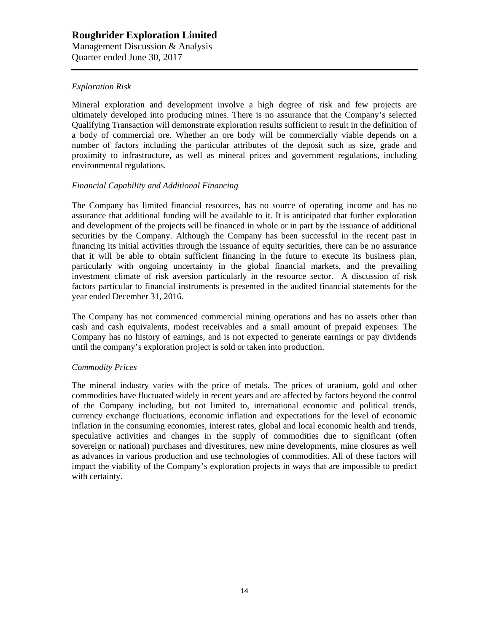## *Exploration Risk*

Mineral exploration and development involve a high degree of risk and few projects are ultimately developed into producing mines. There is no assurance that the Company's selected Qualifying Transaction will demonstrate exploration results sufficient to result in the definition of a body of commercial ore. Whether an ore body will be commercially viable depends on a number of factors including the particular attributes of the deposit such as size, grade and proximity to infrastructure, as well as mineral prices and government regulations, including environmental regulations.

#### *Financial Capability and Additional Financing*

The Company has limited financial resources, has no source of operating income and has no assurance that additional funding will be available to it. It is anticipated that further exploration and development of the projects will be financed in whole or in part by the issuance of additional securities by the Company. Although the Company has been successful in the recent past in financing its initial activities through the issuance of equity securities, there can be no assurance that it will be able to obtain sufficient financing in the future to execute its business plan, particularly with ongoing uncertainty in the global financial markets, and the prevailing investment climate of risk aversion particularly in the resource sector. A discussion of risk factors particular to financial instruments is presented in the audited financial statements for the year ended December 31, 2016.

The Company has not commenced commercial mining operations and has no assets other than cash and cash equivalents, modest receivables and a small amount of prepaid expenses. The Company has no history of earnings, and is not expected to generate earnings or pay dividends until the company's exploration project is sold or taken into production.

#### *Commodity Prices*

The mineral industry varies with the price of metals. The prices of uranium, gold and other commodities have fluctuated widely in recent years and are affected by factors beyond the control of the Company including, but not limited to, international economic and political trends, currency exchange fluctuations, economic inflation and expectations for the level of economic inflation in the consuming economies, interest rates, global and local economic health and trends, speculative activities and changes in the supply of commodities due to significant (often sovereign or national) purchases and divestitures, new mine developments, mine closures as well as advances in various production and use technologies of commodities. All of these factors will impact the viability of the Company's exploration projects in ways that are impossible to predict with certainty.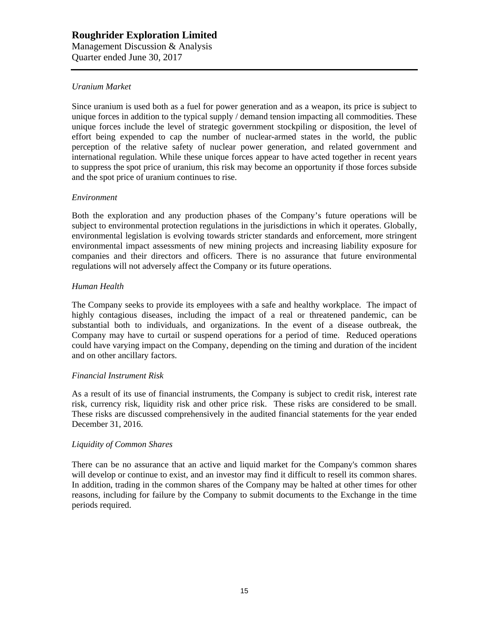# **Roughrider Exploration Limited** Management Discussion & Analysis

Quarter ended June 30, 2017

#### *Uranium Market*

Since uranium is used both as a fuel for power generation and as a weapon, its price is subject to unique forces in addition to the typical supply / demand tension impacting all commodities. These unique forces include the level of strategic government stockpiling or disposition, the level of effort being expended to cap the number of nuclear-armed states in the world, the public perception of the relative safety of nuclear power generation, and related government and international regulation. While these unique forces appear to have acted together in recent years to suppress the spot price of uranium, this risk may become an opportunity if those forces subside and the spot price of uranium continues to rise.

#### *Environment*

Both the exploration and any production phases of the Company's future operations will be subject to environmental protection regulations in the jurisdictions in which it operates. Globally, environmental legislation is evolving towards stricter standards and enforcement, more stringent environmental impact assessments of new mining projects and increasing liability exposure for companies and their directors and officers. There is no assurance that future environmental regulations will not adversely affect the Company or its future operations.

#### *Human Health*

The Company seeks to provide its employees with a safe and healthy workplace. The impact of highly contagious diseases, including the impact of a real or threatened pandemic, can be substantial both to individuals, and organizations. In the event of a disease outbreak, the Company may have to curtail or suspend operations for a period of time. Reduced operations could have varying impact on the Company, depending on the timing and duration of the incident and on other ancillary factors.

#### *Financial Instrument Risk*

As a result of its use of financial instruments, the Company is subject to credit risk, interest rate risk, currency risk, liquidity risk and other price risk. These risks are considered to be small. These risks are discussed comprehensively in the audited financial statements for the year ended December 31, 2016.

#### *Liquidity of Common Shares*

There can be no assurance that an active and liquid market for the Company's common shares will develop or continue to exist, and an investor may find it difficult to resell its common shares. In addition, trading in the common shares of the Company may be halted at other times for other reasons, including for failure by the Company to submit documents to the Exchange in the time periods required.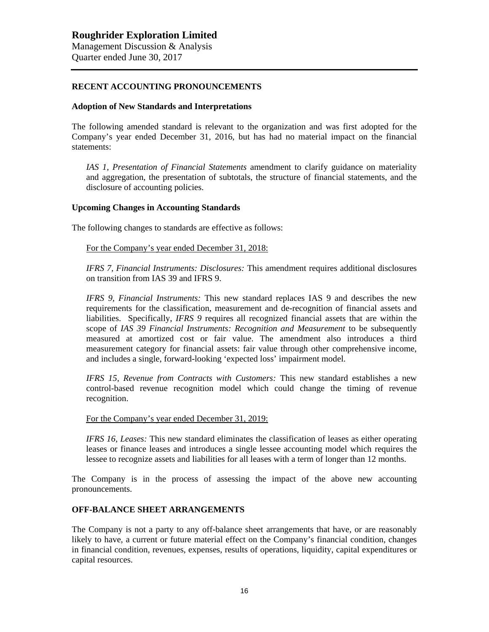#### **RECENT ACCOUNTING PRONOUNCEMENTS**

#### **Adoption of New Standards and Interpretations**

The following amended standard is relevant to the organization and was first adopted for the Company's year ended December 31, 2016, but has had no material impact on the financial statements:

*IAS 1, Presentation of Financial Statements* amendment to clarify guidance on materiality and aggregation, the presentation of subtotals, the structure of financial statements, and the disclosure of accounting policies.

#### **Upcoming Changes in Accounting Standards**

The following changes to standards are effective as follows:

For the Company's year ended December 31, 2018:

*IFRS 7, Financial Instruments: Disclosures:* This amendment requires additional disclosures on transition from IAS 39 and IFRS 9.

*IFRS 9, Financial Instruments:* This new standard replaces IAS 9 and describes the new requirements for the classification, measurement and de-recognition of financial assets and liabilities. Specifically, *IFRS 9* requires all recognized financial assets that are within the scope of *IAS 39 Financial Instruments: Recognition and Measurement* to be subsequently measured at amortized cost or fair value. The amendment also introduces a third measurement category for financial assets: fair value through other comprehensive income, and includes a single, forward-looking 'expected loss' impairment model.

*IFRS 15, Revenue from Contracts with Customers:* This new standard establishes a new control-based revenue recognition model which could change the timing of revenue recognition.

For the Company's year ended December 31, 2019:

*IFRS 16, Leases:* This new standard eliminates the classification of leases as either operating leases or finance leases and introduces a single lessee accounting model which requires the lessee to recognize assets and liabilities for all leases with a term of longer than 12 months.

The Company is in the process of assessing the impact of the above new accounting pronouncements.

## **OFF-BALANCE SHEET ARRANGEMENTS**

The Company is not a party to any off-balance sheet arrangements that have, or are reasonably likely to have, a current or future material effect on the Company's financial condition, changes in financial condition, revenues, expenses, results of operations, liquidity, capital expenditures or capital resources.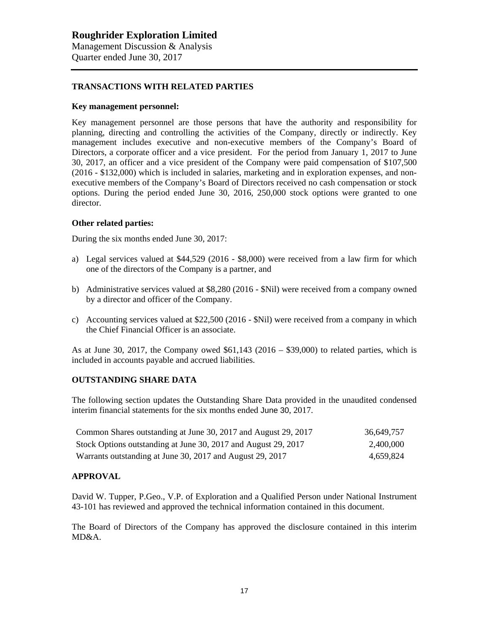#### **TRANSACTIONS WITH RELATED PARTIES**

#### **Key management personnel:**

Key management personnel are those persons that have the authority and responsibility for planning, directing and controlling the activities of the Company, directly or indirectly. Key management includes executive and non-executive members of the Company's Board of Directors, a corporate officer and a vice president. For the period from January 1, 2017 to June 30, 2017, an officer and a vice president of the Company were paid compensation of \$107,500 (2016 - \$132,000) which is included in salaries, marketing and in exploration expenses, and nonexecutive members of the Company's Board of Directors received no cash compensation or stock options. During the period ended June 30, 2016, 250,000 stock options were granted to one director.

#### **Other related parties:**

During the six months ended June 30, 2017:

- a) Legal services valued at \$44,529 (2016 \$8,000) were received from a law firm for which one of the directors of the Company is a partner, and
- b) Administrative services valued at \$8,280 (2016 \$Nil) were received from a company owned by a director and officer of the Company.
- c) Accounting services valued at \$22,500 (2016 \$Nil) were received from a company in which the Chief Financial Officer is an associate.

As at June 30, 2017, the Company owed  $$61,143$  (2016 – \$39,000) to related parties, which is included in accounts payable and accrued liabilities.

#### **OUTSTANDING SHARE DATA**

The following section updates the Outstanding Share Data provided in the unaudited condensed interim financial statements for the six months ended June 30, 2017.

| Common Shares outstanding at June 30, 2017 and August 29, 2017 | 36,649,757 |
|----------------------------------------------------------------|------------|
| Stock Options outstanding at June 30, 2017 and August 29, 2017 | 2.400.000  |
| Warrants outstanding at June 30, 2017 and August 29, 2017      | 4.659.824  |

#### **APPROVAL**

David W. Tupper, P.Geo., V.P. of Exploration and a Qualified Person under National Instrument 43-101 has reviewed and approved the technical information contained in this document.

The Board of Directors of the Company has approved the disclosure contained in this interim MD&A.